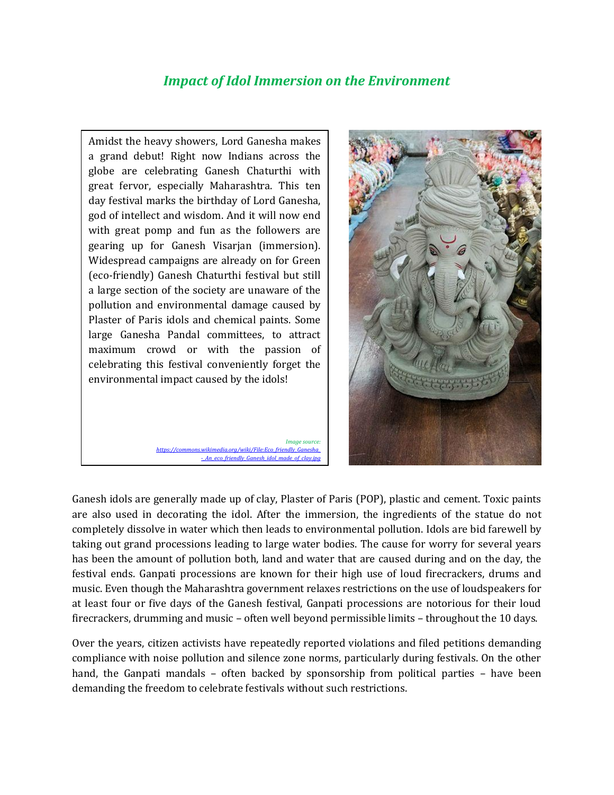# *Impact of Idol Immersion on the Environment*

Amidst the heavy showers, Lord Ganesha makes a grand debut! Right now Indians across the globe are celebrating Ganesh Chaturthi with great fervor, especially Maharashtra. This ten day festival marks the birthday of Lord Ganesha, god of intellect and wisdom. And it will now end with great pomp and fun as the followers are gearing up for Ganesh Visarjan (immersion). Widespread campaigns are already on for Green (eco-friendly) Ganesh Chaturthi festival but still a large section of the society are unaware of the pollution and environmental damage caused by Plaster of Paris idols and chemical paints. Some large Ganesha Pandal committees, to attract maximum crowd or with the passion of celebrating this festival conveniently forget the environmental impact caused by the idols!



Ganesh idols are generally made up of clay, Plaster of Paris (POP), plastic and cement. Toxic paints are also used in decorating the idol. After the immersion, the ingredients of the statue do not completely dissolve in water which then leads to environmental pollution. Idols are bid farewell by taking out grand processions leading to large water bodies. The cause for worry for several years has been the amount of pollution both, land and water that are caused during and on the day, the festival ends. Ganpati processions are known for their high use of loud firecrackers, drums and music. Even though the Maharashtra government relaxes restrictions on the use of loudspeakers for at least four or five days of the Ganesh festival, Ganpati processions are notorious for their loud firecrackers, drumming and music – often well beyond permissible limits – throughout the 10 days.

*Image source:* 

*https://commons.wikimedia.org/wiki/File:Eco\_friendly\_Ganesha\_ -\_An\_eco\_friendly\_Ganesh\_idol\_made\_of\_clay.jpg*

Over the years, citizen activists have repeatedly reported violations and filed petitions demanding compliance with noise pollution and silence zone norms, particularly during festivals. On the other hand, the Ganpati mandals – often backed by sponsorship from political parties – have been demanding the freedom to celebrate festivals without such restrictions.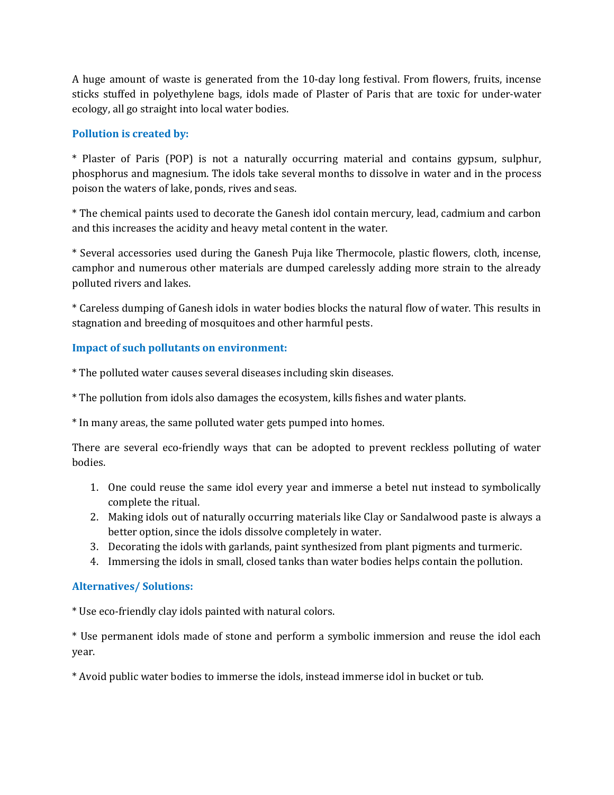A huge amount of waste is generated from the 10-day long festival. From flowers, fruits, incense sticks stuffed in polyethylene bags, idols made of Plaster of Paris that are toxic for under-water ecology, all go straight into local water bodies.

## **Pollution is created by:**

\* Plaster of Paris (POP) is not a naturally occurring material and contains gypsum, sulphur, phosphorus and magnesium. The idols take several months to dissolve in water and in the process poison the waters of lake, ponds, rives and seas.

\* The chemical paints used to decorate the Ganesh idol contain mercury, lead, cadmium and carbon and this increases the acidity and heavy metal content in the water.

\* Several accessories used during the Ganesh Puja like Thermocole, plastic flowers, cloth, incense, camphor and numerous other materials are dumped carelessly adding more strain to the already polluted rivers and lakes.

\* Careless dumping of Ganesh idols in water bodies blocks the natural flow of water. This results in stagnation and breeding of mosquitoes and other harmful pests.

### **Impact of such pollutants on environment:**

\* The polluted water causes several diseases including skin diseases.

- \* The pollution from idols also damages the ecosystem, kills fishes and water plants.
- \* In many areas, the same polluted water gets pumped into homes.

There are several eco-friendly ways that can be adopted to prevent reckless polluting of water bodies.

- 1. One could reuse the same idol every year and immerse a betel nut instead to symbolically complete the ritual.
- 2. Making idols out of naturally occurring materials like Clay or Sandalwood paste is always a better option, since the idols dissolve completely in water.
- 3. Decorating the idols with garlands, paint synthesized from plant pigments and turmeric.
- 4. Immersing the idols in small, closed tanks than water bodies helps contain the pollution.

#### **Alternatives/ Solutions:**

\* Use eco-friendly clay idols painted with natural colors.

\* Use permanent idols made of stone and perform a symbolic immersion and reuse the idol each year.

\* Avoid public water bodies to immerse the idols, instead immerse idol in bucket or tub.